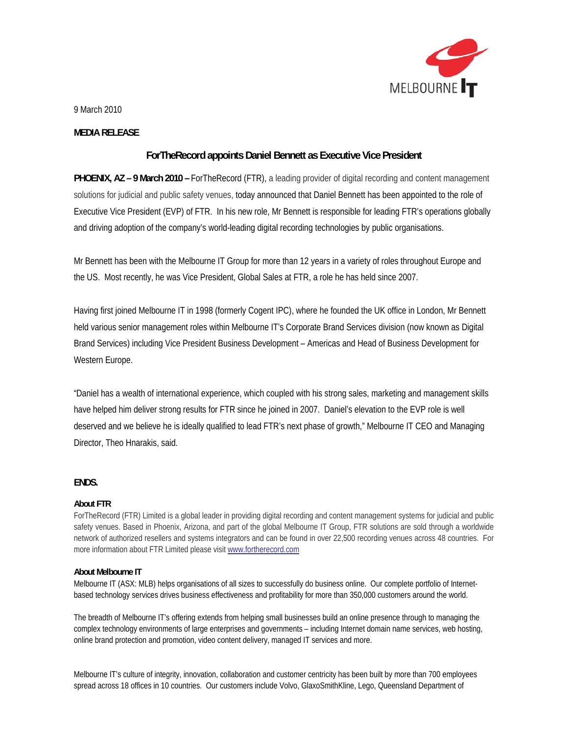

9 March 2010

## **MEDIA RELEASE**

# **ForTheRecord appoints Daniel Bennett as Executive Vice President**

**PHOENIX, AZ – 9 March 2010 –** ForTheRecord (FTR), a leading provider of digital recording and content management solutions for judicial and public safety venues, today announced that Daniel Bennett has been appointed to the role of Executive Vice President (EVP) of FTR. In his new role, Mr Bennett is responsible for leading FTR's operations globally and driving adoption of the company's world-leading digital recording technologies by public organisations.

Mr Bennett has been with the Melbourne IT Group for more than 12 years in a variety of roles throughout Europe and the US. Most recently, he was Vice President, Global Sales at FTR, a role he has held since 2007.

Having first joined Melbourne IT in 1998 (formerly Cogent IPC), where he founded the UK office in London, Mr Bennett held various senior management roles within Melbourne IT's Corporate Brand Services division (now known as Digital Brand Services) including Vice President Business Development – Americas and Head of Business Development for Western Europe.

"Daniel has a wealth of international experience, which coupled with his strong sales, marketing and management skills have helped him deliver strong results for FTR since he joined in 2007. Daniel's elevation to the EVP role is well deserved and we believe he is ideally qualified to lead FTR's next phase of growth," Melbourne IT CEO and Managing Director, Theo Hnarakis, said.

# **ENDS.**

## **About FTR**

ForTheRecord (FTR) Limited is a global leader in providing digital recording and content management systems for judicial and public safety venues. Based in Phoenix, Arizona, and part of the global Melbourne IT Group, FTR solutions are sold through a worldwide network of authorized resellers and systems integrators and can be found in over 22,500 recording venues across 48 countries. For more information about FTR Limited please visit www.fortherecord.com

### **About Melbourne IT**

Melbourne IT (ASX: MLB) helps organisations of all sizes to successfully do business online. Our complete portfolio of Internetbased technology services drives business effectiveness and profitability for more than 350,000 customers around the world.

The breadth of Melbourne IT's offering extends from helping small businesses build an online presence through to managing the complex technology environments of large enterprises and governments – including Internet domain name services, web hosting, online brand protection and promotion, video content delivery, managed IT services and more.

Melbourne IT's culture of integrity, innovation, collaboration and customer centricity has been built by more than 700 employees spread across 18 offices in 10 countries. Our customers include Volvo, GlaxoSmithKline, Lego, Queensland Department of